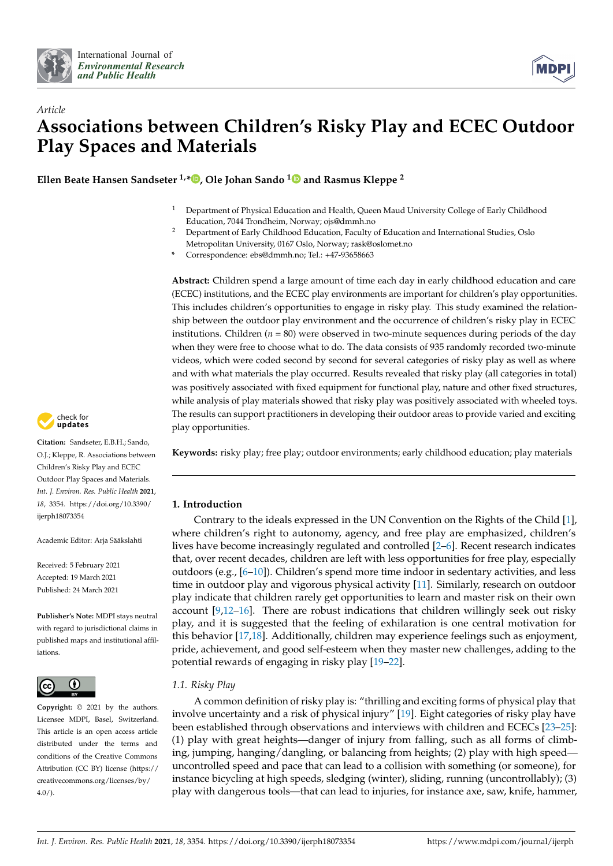



# *Article* **Associations between Children's Risky Play and ECEC Outdoor Play Spaces and Materials**

**Ellen Beate Hansen Sandseter 1,\* [,](https://orcid.org/0000-0002-3315-6955) Ole Johan Sando [1](https://orcid.org/0000-0002-2795-0300) and Rasmus Kleppe <sup>2</sup>**

- <sup>1</sup> Department of Physical Education and Health, Queen Maud University College of Early Childhood Education, 7044 Trondheim, Norway; ojs@dmmh.no
- <sup>2</sup> Department of Early Childhood Education, Faculty of Education and International Studies, Oslo Metropolitan University, 0167 Oslo, Norway; rask@oslomet.no

**\*** Correspondence: ebs@dmmh.no; Tel.: +47-93658663

**Abstract:** Children spend a large amount of time each day in early childhood education and care (ECEC) institutions, and the ECEC play environments are important for children's play opportunities. This includes children's opportunities to engage in risky play. This study examined the relationship between the outdoor play environment and the occurrence of children's risky play in ECEC institutions. Children  $(n = 80)$  were observed in two-minute sequences during periods of the day when they were free to choose what to do. The data consists of 935 randomly recorded two-minute videos, which were coded second by second for several categories of risky play as well as where and with what materials the play occurred. Results revealed that risky play (all categories in total) was positively associated with fixed equipment for functional play, nature and other fixed structures, while analysis of play materials showed that risky play was positively associated with wheeled toys. The results can support practitioners in developing their outdoor areas to provide varied and exciting play opportunities.

**Keywords:** risky play; free play; outdoor environments; early childhood education; play materials

# **1. Introduction**

Contrary to the ideals expressed in the UN Convention on the Rights of the Child [\[1\]](#page-11-0), where children's right to autonomy, agency, and free play are emphasized, children's lives have become increasingly regulated and controlled [\[2](#page-11-1)[–6\]](#page-11-2). Recent research indicates that, over recent decades, children are left with less opportunities for free play, especially outdoors (e.g.,  $[6-10]$  $[6-10]$ ). Children's spend more time indoor in sedentary activities, and less time in outdoor play and vigorous physical activity [\[11\]](#page-12-0). Similarly, research on outdoor play indicate that children rarely get opportunities to learn and master risk on their own account [\[9](#page-11-4)[,12–](#page-12-1)[16\]](#page-12-2). There are robust indications that children willingly seek out risky play, and it is suggested that the feeling of exhilaration is one central motivation for this behavior [\[17](#page-12-3)[,18\]](#page-12-4). Additionally, children may experience feelings such as enjoyment, pride, achievement, and good self-esteem when they master new challenges, adding to the potential rewards of engaging in risky play [\[19–](#page-12-5)[22\]](#page-12-6).

# *1.1. Risky Play*

A common definition of risky play is: "thrilling and exciting forms of physical play that involve uncertainty and a risk of physical injury" [\[19\]](#page-12-5). Eight categories of risky play have been established through observations and interviews with children and ECECs [\[23–](#page-12-7)[25\]](#page-12-8): (1) play with great heights—danger of injury from falling, such as all forms of climbing, jumping, hanging/dangling, or balancing from heights; (2) play with high speed uncontrolled speed and pace that can lead to a collision with something (or someone), for instance bicycling at high speeds, sledging (winter), sliding, running (uncontrollably); (3) play with dangerous tools—that can lead to injuries, for instance axe, saw, knife, hammer,



**Citation:** Sandseter, E.B.H.; Sando, O.J.; Kleppe, R. Associations between Children's Risky Play and ECEC Outdoor Play Spaces and Materials. *Int. J. Environ. Res. Public Health* **2021**, *18*, 3354. [https://doi.org/10.3390/](https://doi.org/10.3390/ijerph18073354) [ijerph18073354](https://doi.org/10.3390/ijerph18073354)

Academic Editor: Arja Sääkslahti

Received: 5 February 2021 Accepted: 19 March 2021 Published: 24 March 2021

**Publisher's Note:** MDPI stays neutral with regard to jurisdictional claims in published maps and institutional affiliations.



**Copyright:** © 2021 by the authors. Licensee MDPI, Basel, Switzerland. This article is an open access article distributed under the terms and conditions of the Creative Commons Attribution (CC BY) license (https:/[/](https://creativecommons.org/licenses/by/4.0/) [creativecommons.org/licenses/by/](https://creativecommons.org/licenses/by/4.0/)  $4.0/$ ).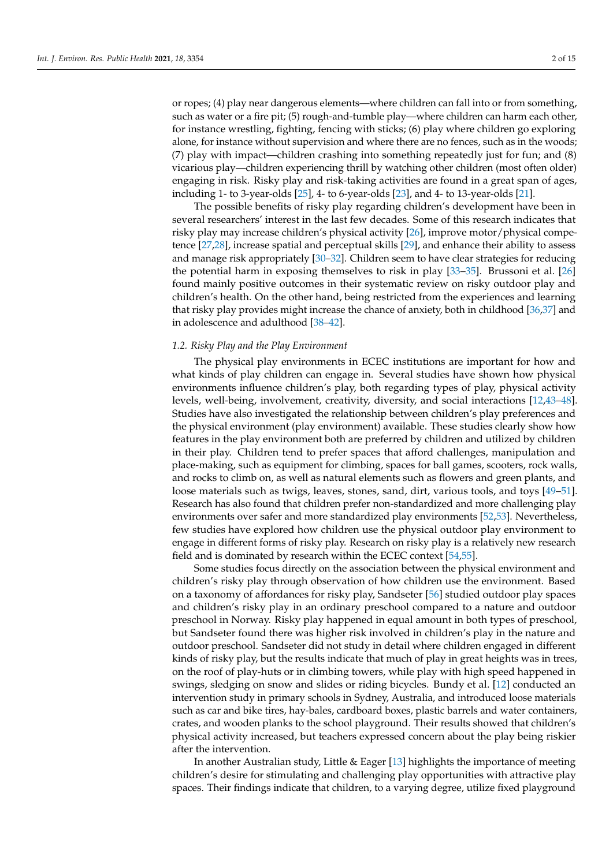or ropes; (4) play near dangerous elements—where children can fall into or from something, such as water or a fire pit; (5) rough-and-tumble play—where children can harm each other, for instance wrestling, fighting, fencing with sticks; (6) play where children go exploring alone, for instance without supervision and where there are no fences, such as in the woods; (7) play with impact—children crashing into something repeatedly just for fun; and (8) vicarious play—children experiencing thrill by watching other children (most often older) engaging in risk. Risky play and risk-taking activities are found in a great span of ages, including 1- to 3-year-olds [\[25\]](#page-12-8), 4- to 6-year-olds [\[23\]](#page-12-7), and 4- to 13-year-olds [\[21\]](#page-12-9).

The possible benefits of risky play regarding children's development have been in several researchers' interest in the last few decades. Some of this research indicates that risky play may increase children's physical activity [\[26\]](#page-12-10), improve motor/physical competence [\[27](#page-12-11)[,28\]](#page-12-12), increase spatial and perceptual skills [\[29\]](#page-12-13), and enhance their ability to assess and manage risk appropriately [\[30](#page-12-14)[–32\]](#page-12-15). Children seem to have clear strategies for reducing the potential harm in exposing themselves to risk in play [\[33](#page-12-16)[–35\]](#page-12-17). Brussoni et al. [\[26\]](#page-12-10) found mainly positive outcomes in their systematic review on risky outdoor play and children's health. On the other hand, being restricted from the experiences and learning that risky play provides might increase the chance of anxiety, both in childhood [\[36,](#page-12-18)[37\]](#page-12-19) and in adolescence and adulthood [\[38–](#page-12-20)[42\]](#page-13-0).

## *1.2. Risky Play and the Play Environment*

The physical play environments in ECEC institutions are important for how and what kinds of play children can engage in. Several studies have shown how physical environments influence children's play, both regarding types of play, physical activity levels, well-being, involvement, creativity, diversity, and social interactions [\[12,](#page-12-1)[43](#page-13-1)[–48\]](#page-13-2). Studies have also investigated the relationship between children's play preferences and the physical environment (play environment) available. These studies clearly show how features in the play environment both are preferred by children and utilized by children in their play. Children tend to prefer spaces that afford challenges, manipulation and place-making, such as equipment for climbing, spaces for ball games, scooters, rock walls, and rocks to climb on, as well as natural elements such as flowers and green plants, and loose materials such as twigs, leaves, stones, sand, dirt, various tools, and toys [\[49](#page-13-3)[–51\]](#page-13-4). Research has also found that children prefer non-standardized and more challenging play environments over safer and more standardized play environments [\[52,](#page-13-5)[53\]](#page-13-6). Nevertheless, few studies have explored how children use the physical outdoor play environment to engage in different forms of risky play. Research on risky play is a relatively new research field and is dominated by research within the ECEC context [\[54,](#page-13-7)[55\]](#page-13-8).

Some studies focus directly on the association between the physical environment and children's risky play through observation of how children use the environment. Based on a taxonomy of affordances for risky play, Sandseter [\[56\]](#page-13-9) studied outdoor play spaces and children's risky play in an ordinary preschool compared to a nature and outdoor preschool in Norway. Risky play happened in equal amount in both types of preschool, but Sandseter found there was higher risk involved in children's play in the nature and outdoor preschool. Sandseter did not study in detail where children engaged in different kinds of risky play, but the results indicate that much of play in great heights was in trees, on the roof of play-huts or in climbing towers, while play with high speed happened in swings, sledging on snow and slides or riding bicycles. Bundy et al. [\[12\]](#page-12-1) conducted an intervention study in primary schools in Sydney, Australia, and introduced loose materials such as car and bike tires, hay-bales, cardboard boxes, plastic barrels and water containers, crates, and wooden planks to the school playground. Their results showed that children's physical activity increased, but teachers expressed concern about the play being riskier after the intervention.

In another Australian study, Little & Eager [\[13\]](#page-12-21) highlights the importance of meeting children's desire for stimulating and challenging play opportunities with attractive play spaces. Their findings indicate that children, to a varying degree, utilize fixed playground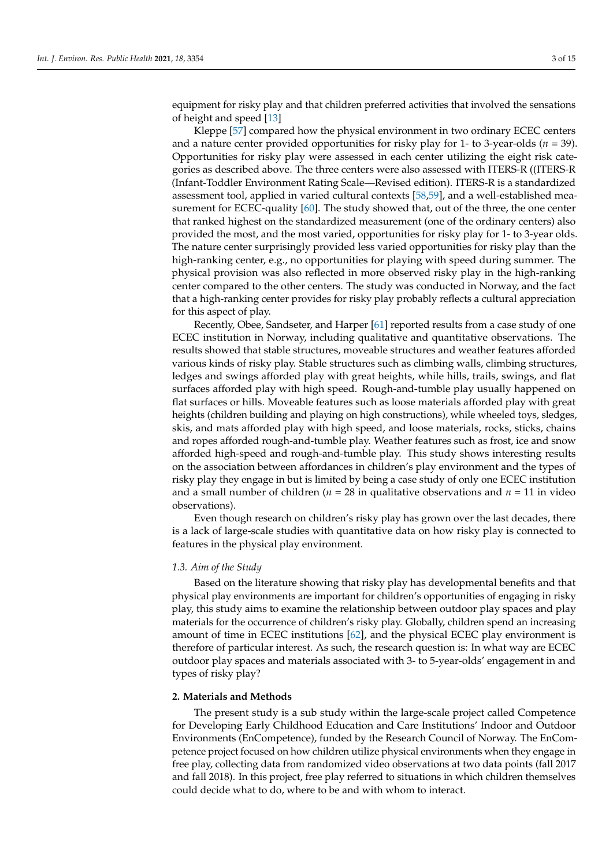equipment for risky play and that children preferred activities that involved the sensations of height and speed [\[13\]](#page-12-21)

Kleppe [\[57\]](#page-13-10) compared how the physical environment in two ordinary ECEC centers and a nature center provided opportunities for risky play for 1- to 3-year-olds (*n* = 39). Opportunities for risky play were assessed in each center utilizing the eight risk categories as described above. The three centers were also assessed with ITERS-R ((ITERS-R (Infant-Toddler Environment Rating Scale—Revised edition). ITERS-R is a standardized assessment tool, applied in varied cultural contexts [\[58,](#page-13-11)[59\]](#page-13-12), and a well-established measurement for ECEC-quality [\[60\]](#page-13-13). The study showed that, out of the three, the one center that ranked highest on the standardized measurement (one of the ordinary centers) also provided the most, and the most varied, opportunities for risky play for 1- to 3-year olds. The nature center surprisingly provided less varied opportunities for risky play than the high-ranking center, e.g., no opportunities for playing with speed during summer. The physical provision was also reflected in more observed risky play in the high-ranking center compared to the other centers. The study was conducted in Norway, and the fact that a high-ranking center provides for risky play probably reflects a cultural appreciation for this aspect of play.

Recently, Obee, Sandseter, and Harper [\[61\]](#page-13-14) reported results from a case study of one ECEC institution in Norway, including qualitative and quantitative observations. The results showed that stable structures, moveable structures and weather features afforded various kinds of risky play. Stable structures such as climbing walls, climbing structures, ledges and swings afforded play with great heights, while hills, trails, swings, and flat surfaces afforded play with high speed. Rough-and-tumble play usually happened on flat surfaces or hills. Moveable features such as loose materials afforded play with great heights (children building and playing on high constructions), while wheeled toys, sledges, skis, and mats afforded play with high speed, and loose materials, rocks, sticks, chains and ropes afforded rough-and-tumble play. Weather features such as frost, ice and snow afforded high-speed and rough-and-tumble play. This study shows interesting results on the association between affordances in children's play environment and the types of risky play they engage in but is limited by being a case study of only one ECEC institution and a small number of children ( $n = 28$  in qualitative observations and  $n = 11$  in video observations).

Even though research on children's risky play has grown over the last decades, there is a lack of large-scale studies with quantitative data on how risky play is connected to features in the physical play environment.

#### *1.3. Aim of the Study*

Based on the literature showing that risky play has developmental benefits and that physical play environments are important for children's opportunities of engaging in risky play, this study aims to examine the relationship between outdoor play spaces and play materials for the occurrence of children's risky play. Globally, children spend an increasing amount of time in ECEC institutions [\[62\]](#page-13-15), and the physical ECEC play environment is therefore of particular interest. As such, the research question is: In what way are ECEC outdoor play spaces and materials associated with 3- to 5-year-olds' engagement in and types of risky play?

## **2. Materials and Methods**

The present study is a sub study within the large-scale project called Competence for Developing Early Childhood Education and Care Institutions' Indoor and Outdoor Environments (EnCompetence), funded by the Research Council of Norway. The EnCompetence project focused on how children utilize physical environments when they engage in free play, collecting data from randomized video observations at two data points (fall 2017 and fall 2018). In this project, free play referred to situations in which children themselves could decide what to do, where to be and with whom to interact.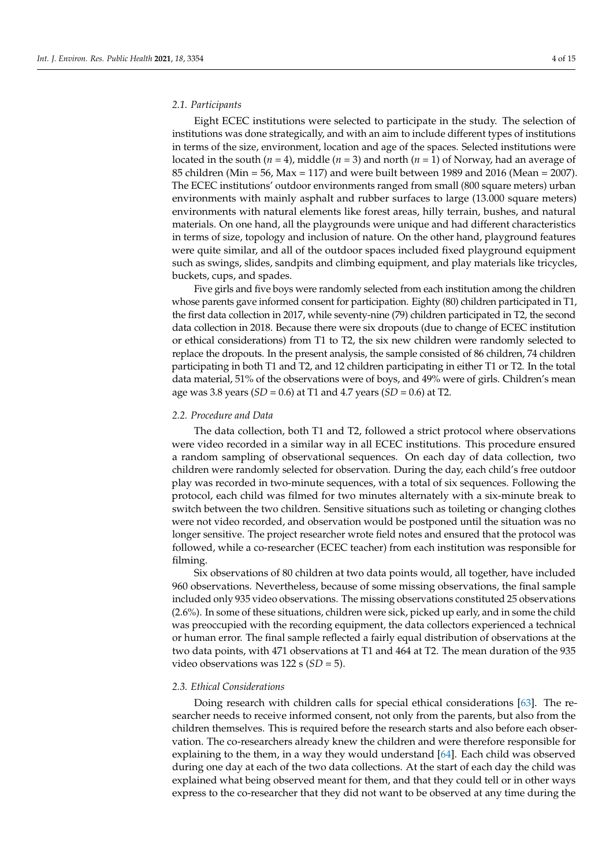#### *2.1. Participants*

Eight ECEC institutions were selected to participate in the study. The selection of institutions was done strategically, and with an aim to include different types of institutions in terms of the size, environment, location and age of the spaces. Selected institutions were located in the south (*n* = 4), middle (*n* = 3) and north (*n* = 1) of Norway, had an average of 85 children (Min = 56, Max = 117) and were built between 1989 and 2016 (Mean = 2007). The ECEC institutions' outdoor environments ranged from small (800 square meters) urban environments with mainly asphalt and rubber surfaces to large (13.000 square meters) environments with natural elements like forest areas, hilly terrain, bushes, and natural materials. On one hand, all the playgrounds were unique and had different characteristics in terms of size, topology and inclusion of nature. On the other hand, playground features were quite similar, and all of the outdoor spaces included fixed playground equipment such as swings, slides, sandpits and climbing equipment, and play materials like tricycles, buckets, cups, and spades.

Five girls and five boys were randomly selected from each institution among the children whose parents gave informed consent for participation. Eighty (80) children participated in T1, the first data collection in 2017, while seventy-nine (79) children participated in T2, the second data collection in 2018. Because there were six dropouts (due to change of ECEC institution or ethical considerations) from T1 to T2, the six new children were randomly selected to replace the dropouts. In the present analysis, the sample consisted of 86 children, 74 children participating in both T1 and T2, and 12 children participating in either T1 or T2. In the total data material, 51% of the observations were of boys, and 49% were of girls. Children's mean age was 3.8 years (*SD* = 0.6) at T1 and 4.7 years (*SD* = 0.6) at T2.

### *2.2. Procedure and Data*

The data collection, both T1 and T2, followed a strict protocol where observations were video recorded in a similar way in all ECEC institutions. This procedure ensured a random sampling of observational sequences. On each day of data collection, two children were randomly selected for observation. During the day, each child's free outdoor play was recorded in two-minute sequences, with a total of six sequences. Following the protocol, each child was filmed for two minutes alternately with a six-minute break to switch between the two children. Sensitive situations such as toileting or changing clothes were not video recorded, and observation would be postponed until the situation was no longer sensitive. The project researcher wrote field notes and ensured that the protocol was followed, while a co-researcher (ECEC teacher) from each institution was responsible for filming.

Six observations of 80 children at two data points would, all together, have included 960 observations. Nevertheless, because of some missing observations, the final sample included only 935 video observations. The missing observations constituted 25 observations (2.6%). In some of these situations, children were sick, picked up early, and in some the child was preoccupied with the recording equipment, the data collectors experienced a technical or human error. The final sample reflected a fairly equal distribution of observations at the two data points, with 471 observations at T1 and 464 at T2. The mean duration of the 935 video observations was 122 s (*SD* = 5).

#### *2.3. Ethical Considerations*

Doing research with children calls for special ethical considerations [\[63\]](#page-13-16). The researcher needs to receive informed consent, not only from the parents, but also from the children themselves. This is required before the research starts and also before each observation. The co-researchers already knew the children and were therefore responsible for explaining to the them, in a way they would understand [\[64\]](#page-13-17). Each child was observed during one day at each of the two data collections. At the start of each day the child was explained what being observed meant for them, and that they could tell or in other ways express to the co-researcher that they did not want to be observed at any time during the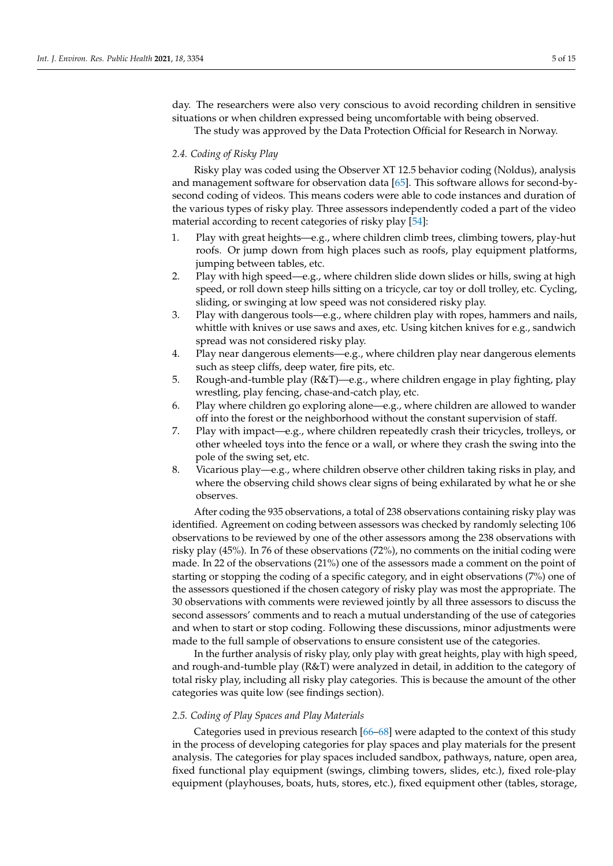day. The researchers were also very conscious to avoid recording children in sensitive situations or when children expressed being uncomfortable with being observed.

The study was approved by the Data Protection Official for Research in Norway.

## *2.4. Coding of Risky Play*

Risky play was coded using the Observer XT 12.5 behavior coding (Noldus), analysis and management software for observation data [\[65\]](#page-13-18). This software allows for second-bysecond coding of videos. This means coders were able to code instances and duration of the various types of risky play. Three assessors independently coded a part of the video material according to recent categories of risky play [\[54\]](#page-13-7):

- 1. Play with great heights—e.g., where children climb trees, climbing towers, play-hut roofs. Or jump down from high places such as roofs, play equipment platforms, jumping between tables, etc.
- 2. Play with high speed—e.g., where children slide down slides or hills, swing at high speed, or roll down steep hills sitting on a tricycle, car toy or doll trolley, etc. Cycling, sliding, or swinging at low speed was not considered risky play.
- 3. Play with dangerous tools—e.g., where children play with ropes, hammers and nails, whittle with knives or use saws and axes, etc. Using kitchen knives for e.g., sandwich spread was not considered risky play.
- 4. Play near dangerous elements—e.g., where children play near dangerous elements such as steep cliffs, deep water, fire pits, etc.
- 5. Rough-and-tumble play (R&T)—e.g., where children engage in play fighting, play wrestling, play fencing, chase-and-catch play, etc.
- 6. Play where children go exploring alone—e.g., where children are allowed to wander off into the forest or the neighborhood without the constant supervision of staff.
- 7. Play with impact—e.g., where children repeatedly crash their tricycles, trolleys, or other wheeled toys into the fence or a wall, or where they crash the swing into the pole of the swing set, etc.
- 8. Vicarious play—e.g., where children observe other children taking risks in play, and where the observing child shows clear signs of being exhilarated by what he or she observes.

After coding the 935 observations, a total of 238 observations containing risky play was identified. Agreement on coding between assessors was checked by randomly selecting 106 observations to be reviewed by one of the other assessors among the 238 observations with risky play (45%). In 76 of these observations (72%), no comments on the initial coding were made. In 22 of the observations (21%) one of the assessors made a comment on the point of starting or stopping the coding of a specific category, and in eight observations (7%) one of the assessors questioned if the chosen category of risky play was most the appropriate. The 30 observations with comments were reviewed jointly by all three assessors to discuss the second assessors' comments and to reach a mutual understanding of the use of categories and when to start or stop coding. Following these discussions, minor adjustments were made to the full sample of observations to ensure consistent use of the categories.

In the further analysis of risky play, only play with great heights, play with high speed, and rough-and-tumble play (R&T) were analyzed in detail, in addition to the category of total risky play, including all risky play categories. This is because the amount of the other categories was quite low (see findings section).

### *2.5. Coding of Play Spaces and Play Materials*

Categories used in previous research [\[66–](#page-13-19)[68\]](#page-13-20) were adapted to the context of this study in the process of developing categories for play spaces and play materials for the present analysis. The categories for play spaces included sandbox, pathways, nature, open area, fixed functional play equipment (swings, climbing towers, slides, etc.), fixed role-play equipment (playhouses, boats, huts, stores, etc.), fixed equipment other (tables, storage,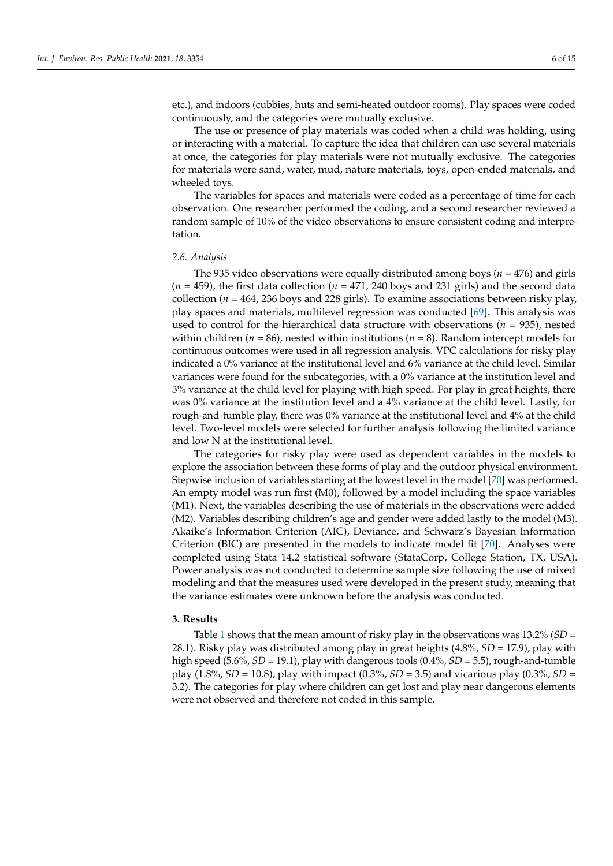etc.), and indoors (cubbies, huts and semi-heated outdoor rooms). Play spaces were coded continuously, and the categories were mutually exclusive.

The use or presence of play materials was coded when a child was holding, using or interacting with a material. To capture the idea that children can use several materials at once, the categories for play materials were not mutually exclusive. The categories for materials were sand, water, mud, nature materials, toys, open-ended materials, and wheeled toys.

The variables for spaces and materials were coded as a percentage of time for each observation. One researcher performed the coding, and a second researcher reviewed a random sample of 10% of the video observations to ensure consistent coding and interpretation.

#### *2.6. Analysis*

The 935 video observations were equally distributed among boys (*n* = 476) and girls  $(n = 459)$ , the first data collection  $(n = 471, 240$  boys and 231 girls) and the second data collection ( $n = 464$ , 236 boys and 228 girls). To examine associations between risky play, play spaces and materials, multilevel regression was conducted [\[69\]](#page-13-21). This analysis was used to control for the hierarchical data structure with observations ( $n = 935$ ), nested within children ( $n = 86$ ), nested within institutions ( $n = 8$ ). Random intercept models for continuous outcomes were used in all regression analysis. VPC calculations for risky play indicated a 0% variance at the institutional level and 6% variance at the child level. Similar variances were found for the subcategories, with a 0% variance at the institution level and 3% variance at the child level for playing with high speed. For play in great heights, there was 0% variance at the institution level and a 4% variance at the child level. Lastly, for rough-and-tumble play, there was 0% variance at the institutional level and 4% at the child level. Two-level models were selected for further analysis following the limited variance and low N at the institutional level.

The categories for risky play were used as dependent variables in the models to explore the association between these forms of play and the outdoor physical environment. Stepwise inclusion of variables starting at the lowest level in the model [\[70\]](#page-13-22) was performed. An empty model was run first (M0), followed by a model including the space variables (M1). Next, the variables describing the use of materials in the observations were added (M2). Variables describing children's age and gender were added lastly to the model (M3). Akaike's Information Criterion (AIC), Deviance, and Schwarz's Bayesian Information Criterion (BIC) are presented in the models to indicate model fit [\[70\]](#page-13-22). Analyses were completed using Stata 14.2 statistical software (StataCorp, College Station, TX, USA). Power analysis was not conducted to determine sample size following the use of mixed modeling and that the measures used were developed in the present study, meaning that the variance estimates were unknown before the analysis was conducted.

#### **3. Results**

Table [1](#page-6-0) shows that the mean amount of risky play in the observations was 13.2% (*SD* = 28.1). Risky play was distributed among play in great heights (4.8%, *SD* = 17.9), play with high speed (5.6%, *SD* = 19.1), play with dangerous tools (0.4%, *SD* = 5.5), rough-and-tumble play (1.8%, *SD* = 10.8), play with impact (0.3%, *SD* = 3.5) and vicarious play (0.3%, *SD* = 3.2). The categories for play where children can get lost and play near dangerous elements were not observed and therefore not coded in this sample.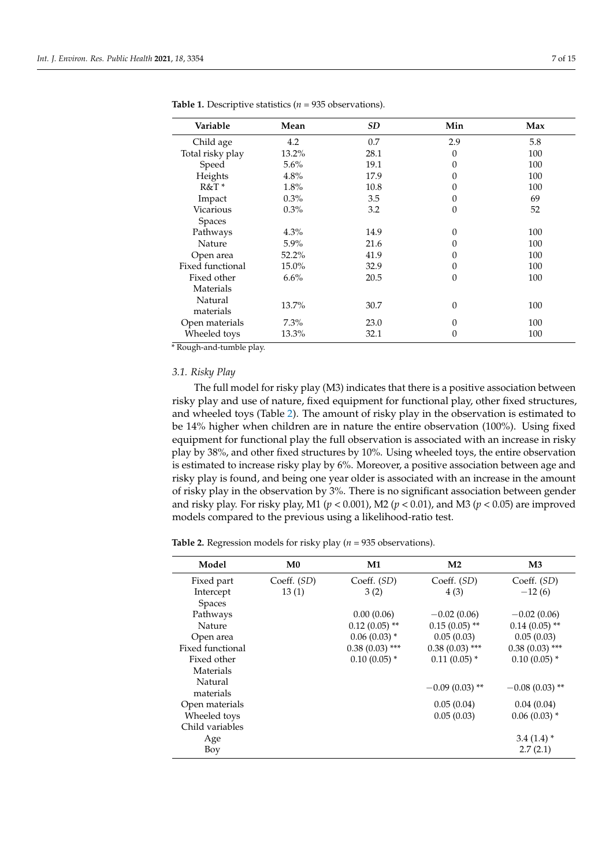| Variable         | Mean    | SD   | Min      | Max |
|------------------|---------|------|----------|-----|
| Child age        | 4.2     | 0.7  | 2.9      | 5.8 |
| Total risky play | 13.2%   | 28.1 | $\Omega$ | 100 |
| Speed            | 5.6%    | 19.1 | 0        | 100 |
| Heights          | 4.8%    | 17.9 | $\theta$ | 100 |
| $R&T*$           | 1.8%    | 10.8 | $\Omega$ | 100 |
| Impact           | 0.3%    | 3.5  | $\Omega$ | 69  |
| Vicarious        | $0.3\%$ | 3.2  | $\theta$ | 52  |
| <b>Spaces</b>    |         |      |          |     |
| Pathways         | 4.3%    | 14.9 | $\Omega$ | 100 |
| Nature           | $5.9\%$ | 21.6 | $\theta$ | 100 |
| Open area        | 52.2%   | 41.9 | $\Omega$ | 100 |
| Fixed functional | 15.0%   | 32.9 | $\theta$ | 100 |
| Fixed other      | 6.6%    | 20.5 | $\theta$ | 100 |
| Materials        |         |      |          |     |
| Natural          | 13.7%   | 30.7 | $\theta$ | 100 |
| materials        |         |      |          |     |
| Open materials   | $7.3\%$ | 23.0 | $\theta$ | 100 |
| Wheeled toys     | 13.3%   | 32.1 | $\theta$ | 100 |

<span id="page-6-0"></span>**Table 1.** Descriptive statistics (*n* = 935 observations).

\* Rough-and-tumble play.

## *3.1. Risky Play*

The full model for risky play (M3) indicates that there is a positive association between risky play and use of nature, fixed equipment for functional play, other fixed structures, and wheeled toys (Table [2\)](#page-7-0). The amount of risky play in the observation is estimated to be 14% higher when children are in nature the entire observation (100%). Using fixed equipment for functional play the full observation is associated with an increase in risky play by 38%, and other fixed structures by 10%. Using wheeled toys, the entire observation is estimated to increase risky play by 6%. Moreover, a positive association between age and risky play is found, and being one year older is associated with an increase in the amount of risky play in the observation by 3%. There is no significant association between gender and risky play. For risky play, M1 (*p* < 0.001), M2 (*p* < 0.01), and M3 (*p* < 0.05) are improved models compared to the previous using a likelihood-ratio test.

**Table 2.** Regression models for risky play (*n* = 935 observations).

| M <sub>0</sub><br>$\mathbf{M}3$<br>Model<br>M1<br>M <sub>2</sub><br>Coeff. (SD)<br>Coeff. (SD)<br>Coeff. (SD)<br>Coeff. (SD)<br>Fixed part<br>$-12(6)$<br>Intercept<br>13(1)<br>3(2)<br>4(3)<br>Spaces<br>0.00(0.06)<br>$-0.02(0.06)$<br>Pathways<br>$-0.02(0.06)$<br>$0.12(0.05)$ **<br>$0.15(0.05)$ **<br>$0.14(0.05)$ **<br><b>Nature</b><br>$0.06(0.03)$ *<br>0.05(0.03)<br>0.05(0.03)<br>Open area<br>$0.38(0.03)$ ***<br>Fixed functional<br>$0.38(0.03)$ ***<br>$0.38(0.03)$ ***<br>$0.10(0.05)$ *<br>$0.10(0.05)$ *<br>$0.11(0.05)$ *<br>Fixed other<br>Materials<br>Natural<br>$-0.09(0.03)$ **<br>$-0.08(0.03)$ **<br>materials<br>0.04(0.04)<br>Open materials<br>0.05(0.04)<br>$0.06(0.03)$ *<br>Wheeled toys<br>0.05(0.03)<br>Child variables<br>$3.4(1.4)$ *<br>Age<br>2.7(2.1)<br>Boy |  |  |  |
|------------------------------------------------------------------------------------------------------------------------------------------------------------------------------------------------------------------------------------------------------------------------------------------------------------------------------------------------------------------------------------------------------------------------------------------------------------------------------------------------------------------------------------------------------------------------------------------------------------------------------------------------------------------------------------------------------------------------------------------------------------------------------------------------------|--|--|--|
|                                                                                                                                                                                                                                                                                                                                                                                                                                                                                                                                                                                                                                                                                                                                                                                                      |  |  |  |
|                                                                                                                                                                                                                                                                                                                                                                                                                                                                                                                                                                                                                                                                                                                                                                                                      |  |  |  |
|                                                                                                                                                                                                                                                                                                                                                                                                                                                                                                                                                                                                                                                                                                                                                                                                      |  |  |  |
|                                                                                                                                                                                                                                                                                                                                                                                                                                                                                                                                                                                                                                                                                                                                                                                                      |  |  |  |
|                                                                                                                                                                                                                                                                                                                                                                                                                                                                                                                                                                                                                                                                                                                                                                                                      |  |  |  |
|                                                                                                                                                                                                                                                                                                                                                                                                                                                                                                                                                                                                                                                                                                                                                                                                      |  |  |  |
|                                                                                                                                                                                                                                                                                                                                                                                                                                                                                                                                                                                                                                                                                                                                                                                                      |  |  |  |
|                                                                                                                                                                                                                                                                                                                                                                                                                                                                                                                                                                                                                                                                                                                                                                                                      |  |  |  |
|                                                                                                                                                                                                                                                                                                                                                                                                                                                                                                                                                                                                                                                                                                                                                                                                      |  |  |  |
|                                                                                                                                                                                                                                                                                                                                                                                                                                                                                                                                                                                                                                                                                                                                                                                                      |  |  |  |
|                                                                                                                                                                                                                                                                                                                                                                                                                                                                                                                                                                                                                                                                                                                                                                                                      |  |  |  |
|                                                                                                                                                                                                                                                                                                                                                                                                                                                                                                                                                                                                                                                                                                                                                                                                      |  |  |  |
|                                                                                                                                                                                                                                                                                                                                                                                                                                                                                                                                                                                                                                                                                                                                                                                                      |  |  |  |
|                                                                                                                                                                                                                                                                                                                                                                                                                                                                                                                                                                                                                                                                                                                                                                                                      |  |  |  |
|                                                                                                                                                                                                                                                                                                                                                                                                                                                                                                                                                                                                                                                                                                                                                                                                      |  |  |  |
|                                                                                                                                                                                                                                                                                                                                                                                                                                                                                                                                                                                                                                                                                                                                                                                                      |  |  |  |
|                                                                                                                                                                                                                                                                                                                                                                                                                                                                                                                                                                                                                                                                                                                                                                                                      |  |  |  |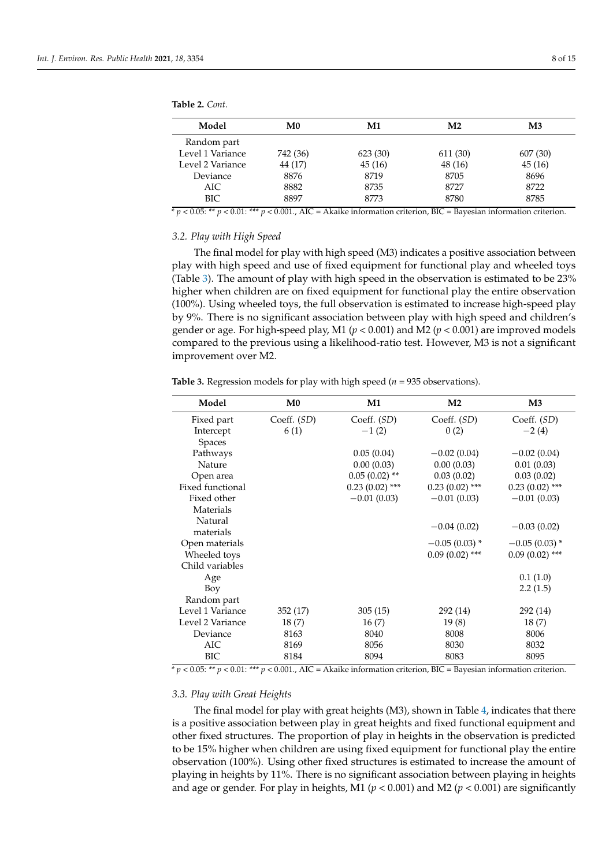| Model            | M <sub>0</sub> | M1      | M <sub>2</sub> | M <sub>3</sub> |  |
|------------------|----------------|---------|----------------|----------------|--|
| Random part      |                |         |                |                |  |
| Level 1 Variance | 742 (36)       | 623(30) | 611 (30)       | 607 (30)       |  |
| Level 2 Variance | 44 (17)        | 45(16)  | 48 (16)        | 45(16)         |  |
| Deviance         | 8876           | 8719    | 8705           | 8696           |  |
| AIC              | 8882           | 8735    | 8727           | 8722           |  |
| BIC              | 8897           | 8773    | 8780           | 8785           |  |

<span id="page-7-0"></span>**Table 2.** *Cont.*

 $p \leq 0.05$ : \*\*  $p \leq 0.01$ : \*\*\*  $p \leq 0.001$ ., AIC = Akaike information criterion, BIC = Bayesian information criterion.

#### *3.2. Play with High Speed*

The final model for play with high speed (M3) indicates a positive association between play with high speed and use of fixed equipment for functional play and wheeled toys (Table [3\)](#page-7-1). The amount of play with high speed in the observation is estimated to be 23% higher when children are on fixed equipment for functional play the entire observation (100%). Using wheeled toys, the full observation is estimated to increase high-speed play by 9%. There is no significant association between play with high speed and children's gender or age. For high-speed play, M1 ( $p < 0.001$ ) and M2 ( $p < 0.001$ ) are improved models compared to the previous using a likelihood-ratio test. However, M3 is not a significant improvement over M2.

| Model            | M <sub>0</sub> | M1               | M <sub>2</sub>   | $\mathbf{M}3$    |
|------------------|----------------|------------------|------------------|------------------|
| Fixed part       | Coeff. (SD)    | Coeff. (SD)      | Coeff. (SD)      | Coeff. (SD)      |
| Intercept        | 6(1)           | $-1(2)$          | 0(2)             | $-2(4)$          |
| Spaces           |                |                  |                  |                  |
| Pathways         |                | 0.05(0.04)       | $-0.02(0.04)$    | $-0.02(0.04)$    |
| Nature           |                | 0.00(0.03)       | 0.00(0.03)       | 0.01(0.03)       |
| Open area        |                | $0.05(0.02)$ **  | 0.03(0.02)       | 0.03(0.02)       |
| Fixed functional |                | $0.23(0.02)$ *** | $0.23(0.02)$ *** | $0.23(0.02)$ *** |
| Fixed other      |                | $-0.01(0.03)$    | $-0.01(0.03)$    | $-0.01(0.03)$    |
| Materials        |                |                  |                  |                  |
| Natural          |                |                  | $-0.04(0.02)$    | $-0.03(0.02)$    |
| materials        |                |                  |                  |                  |
| Open materials   |                |                  | $-0.05(0.03)$ *  | $-0.05(0.03)$ *  |
| Wheeled toys     |                |                  | $0.09(0.02)$ *** | $0.09(0.02)$ *** |
| Child variables  |                |                  |                  |                  |
| Age              |                |                  |                  | 0.1(1.0)         |
| Boy              |                |                  |                  | 2.2(1.5)         |
| Random part      |                |                  |                  |                  |
| Level 1 Variance | 352 (17)       | 305(15)          | 292 (14)         | 292 (14)         |
| Level 2 Variance | 18(7)          | 16(7)            | 19(8)            | 18(7)            |
| Deviance         | 8163           | 8040             | 8008             | 8006             |
| AIC              | 8169           | 8056             | 8030             | 8032             |
| <b>BIC</b>       | 8184           | 8094             | 8083             | 8095             |

<span id="page-7-1"></span>**Table 3.** Regression models for play with high speed (*n* = 935 observations).

\* *p* < 0.05: \*\* *p* < 0.01: \*\*\* *p* < 0.001., AIC = Akaike information criterion, BIC = Bayesian information criterion.

#### *3.3. Play with Great Heights*

The final model for play with great heights (M3), shown in Table [4,](#page-8-0) indicates that there is a positive association between play in great heights and fixed functional equipment and other fixed structures. The proportion of play in heights in the observation is predicted to be 15% higher when children are using fixed equipment for functional play the entire observation (100%). Using other fixed structures is estimated to increase the amount of playing in heights by 11%. There is no significant association between playing in heights and age or gender. For play in heights, M1 (*p* < 0.001) and M2 (*p* < 0.001) are significantly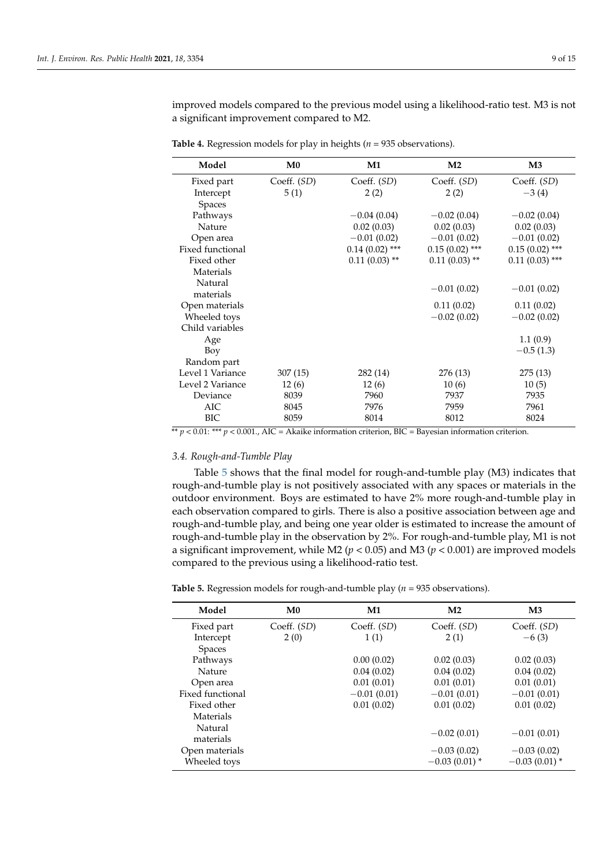improved models compared to the previous model using a likelihood-ratio test. M3 is not a significant improvement compared to M2.

| Model            | M <sub>0</sub> | M1               | M <sub>2</sub>   | $\mathbf{M}3$    |
|------------------|----------------|------------------|------------------|------------------|
| Fixed part       | Coeff. (SD)    | Coeff. (SD)      | Coeff. (SD)      | Coeff. (SD)      |
| Intercept        | 5(1)           | 2(2)             | 2(2)             | $-3(4)$          |
| Spaces           |                |                  |                  |                  |
| Pathways         |                | $-0.04(0.04)$    | $-0.02(0.04)$    | $-0.02(0.04)$    |
| <b>Nature</b>    |                | 0.02(0.03)       | 0.02(0.03)       | 0.02(0.03)       |
| Open area        |                | $-0.01(0.02)$    | $-0.01(0.02)$    | $-0.01(0.02)$    |
| Fixed functional |                | $0.14(0.02)$ *** | $0.15(0.02)$ *** | $0.15(0.02)$ *** |
| Fixed other      |                | $0.11(0.03)$ **  | $0.11(0.03)$ **  | $0.11(0.03)$ *** |
| Materials        |                |                  |                  |                  |
| Natural          |                |                  | $-0.01(0.02)$    | $-0.01(0.02)$    |
| materials        |                |                  |                  |                  |
| Open materials   |                |                  | 0.11(0.02)       | 0.11(0.02)       |
| Wheeled toys     |                |                  | $-0.02(0.02)$    | $-0.02(0.02)$    |
| Child variables  |                |                  |                  |                  |
| Age              |                |                  |                  | 1.1(0.9)         |
| Boy              |                |                  |                  | $-0.5(1.3)$      |
| Random part      |                |                  |                  |                  |
| Level 1 Variance | 307 (15)       | 282 (14)         | 276 (13)         | 275(13)          |
| Level 2 Variance | 12(6)          | 12(6)            | 10(6)            | 10(5)            |
| Deviance         | 8039           | 7960             | 7937             | 7935             |
| AIC              | 8045           | 7976             | 7959             | 7961             |
| BIC              | 8059           | 8014             | 8012             | 8024             |

<span id="page-8-0"></span>**Table 4.** Regression models for play in heights ( $n = 935$  observations).

\*\* *p* < 0.01: \*\*\* *p* < 0.001., AIC = Akaike information criterion, BIC = Bayesian information criterion.

# *3.4. Rough-and-Tumble Play*

Table [5](#page-9-0) shows that the final model for rough-and-tumble play (M3) indicates that rough-and-tumble play is not positively associated with any spaces or materials in the outdoor environment. Boys are estimated to have 2% more rough-and-tumble play in each observation compared to girls. There is also a positive association between age and rough-and-tumble play, and being one year older is estimated to increase the amount of rough-and-tumble play in the observation by 2%. For rough-and-tumble play, M1 is not a significant improvement, while M2 (*p* < 0.05) and M3 (*p* < 0.001) are improved models compared to the previous using a likelihood-ratio test.

| Model                | M <sub>0</sub> | $\mathbf{M1}$ | M <sub>2</sub>  | $\mathbf{M}3$   |
|----------------------|----------------|---------------|-----------------|-----------------|
| Fixed part           | Coeff. (SD)    | Coeff. (SD)   | Coeff. (SD)     | Coeff. (SD)     |
| Intercept            | 2(0)           | 1(1)          | 2(1)            | $-6(3)$         |
| Spaces               |                |               |                 |                 |
| Pathways             |                | 0.00(0.02)    | 0.02(0.03)      | 0.02(0.03)      |
| <b>Nature</b>        |                | 0.04(0.02)    | 0.04(0.02)      | 0.04(0.02)      |
| Open area            |                | 0.01(0.01)    | 0.01(0.01)      | 0.01(0.01)      |
| Fixed functional     |                | $-0.01(0.01)$ | $-0.01(0.01)$   | $-0.01(0.01)$   |
| Fixed other          |                | 0.01(0.02)    | 0.01(0.02)      | 0.01(0.02)      |
| Materials            |                |               |                 |                 |
| Natural<br>materials |                |               | $-0.02(0.01)$   | $-0.01(0.01)$   |
| Open materials       |                |               | $-0.03(0.02)$   | $-0.03(0.02)$   |
| Wheeled toys         |                |               | $-0.03(0.01)$ * | $-0.03(0.01)$ * |

**Table 5.** Regression models for rough-and-tumble play (*n* = 935 observations).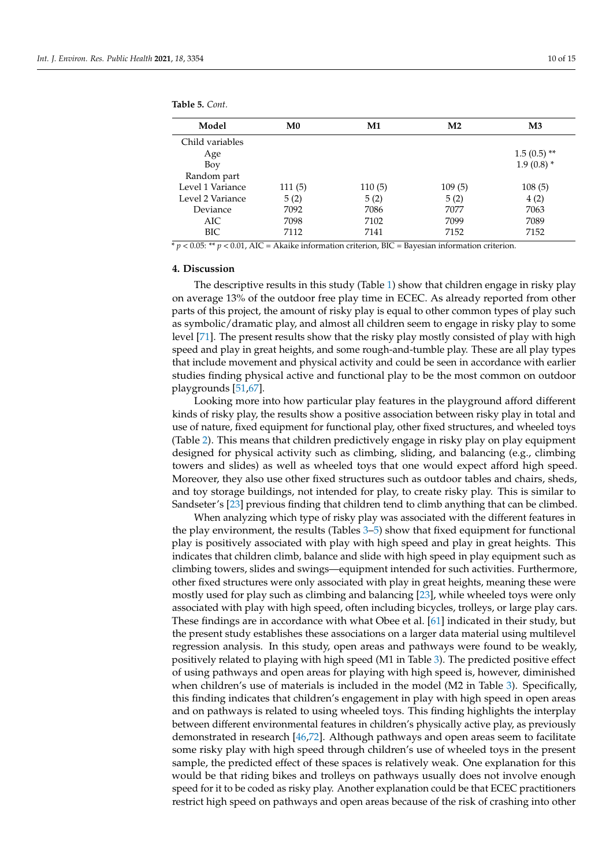<span id="page-9-0"></span>**Table 5.** *Cont.*

| Model            | M <sub>0</sub> | $\mathbf{M1}$ | M <sub>2</sub> | $\mathbf{M}3$ |
|------------------|----------------|---------------|----------------|---------------|
| Child variables  |                |               |                |               |
| Age              |                |               |                | $1.5(0.5)$ ** |
| Boy              |                |               |                | $1.9(0.8)$ *  |
| Random part      |                |               |                |               |
| Level 1 Variance | 111(5)         | 110(5)        | 109(5)         | 108(5)        |
| Level 2 Variance | 5(2)           | 5(2)          | 5(2)           | 4(2)          |
| Deviance         | 7092           | 7086          | 7077           | 7063          |
| <b>AIC</b>       | 7098           | 7102          | 7099           | 7089          |
| BIC              | 7112           | 7141          | 7152           | 7152          |
|                  |                |               |                |               |

 $* p < 0.05$ : \*\*  $p < 0.01$ , AIC = Akaike information criterion, BIC = Bayesian information criterion.

## **4. Discussion**

The descriptive results in this study (Table [1\)](#page-6-0) show that children engage in risky play on average 13% of the outdoor free play time in ECEC. As already reported from other parts of this project, the amount of risky play is equal to other common types of play such as symbolic/dramatic play, and almost all children seem to engage in risky play to some level [\[71\]](#page-14-0). The present results show that the risky play mostly consisted of play with high speed and play in great heights, and some rough-and-tumble play. These are all play types that include movement and physical activity and could be seen in accordance with earlier studies finding physical active and functional play to be the most common on outdoor playgrounds [\[51](#page-13-4)[,67\]](#page-13-23).

Looking more into how particular play features in the playground afford different kinds of risky play, the results show a positive association between risky play in total and use of nature, fixed equipment for functional play, other fixed structures, and wheeled toys (Table [2\)](#page-7-0). This means that children predictively engage in risky play on play equipment designed for physical activity such as climbing, sliding, and balancing (e.g., climbing towers and slides) as well as wheeled toys that one would expect afford high speed. Moreover, they also use other fixed structures such as outdoor tables and chairs, sheds, and toy storage buildings, not intended for play, to create risky play. This is similar to Sandseter's [\[23\]](#page-12-7) previous finding that children tend to climb anything that can be climbed.

When analyzing which type of risky play was associated with the different features in the play environment, the results (Tables [3](#page-7-1)[–5\)](#page-9-0) show that fixed equipment for functional play is positively associated with play with high speed and play in great heights. This indicates that children climb, balance and slide with high speed in play equipment such as climbing towers, slides and swings—equipment intended for such activities. Furthermore, other fixed structures were only associated with play in great heights, meaning these were mostly used for play such as climbing and balancing [\[23\]](#page-12-7), while wheeled toys were only associated with play with high speed, often including bicycles, trolleys, or large play cars. These findings are in accordance with what Obee et al. [\[61\]](#page-13-14) indicated in their study, but the present study establishes these associations on a larger data material using multilevel regression analysis. In this study, open areas and pathways were found to be weakly, positively related to playing with high speed (M1 in Table [3\)](#page-7-1). The predicted positive effect of using pathways and open areas for playing with high speed is, however, diminished when children's use of materials is included in the model (M2 in Table [3\)](#page-7-1). Specifically, this finding indicates that children's engagement in play with high speed in open areas and on pathways is related to using wheeled toys. This finding highlights the interplay between different environmental features in children's physically active play, as previously demonstrated in research [\[46,](#page-13-24)[72\]](#page-14-1). Although pathways and open areas seem to facilitate some risky play with high speed through children's use of wheeled toys in the present sample, the predicted effect of these spaces is relatively weak. One explanation for this would be that riding bikes and trolleys on pathways usually does not involve enough speed for it to be coded as risky play. Another explanation could be that ECEC practitioners restrict high speed on pathways and open areas because of the risk of crashing into other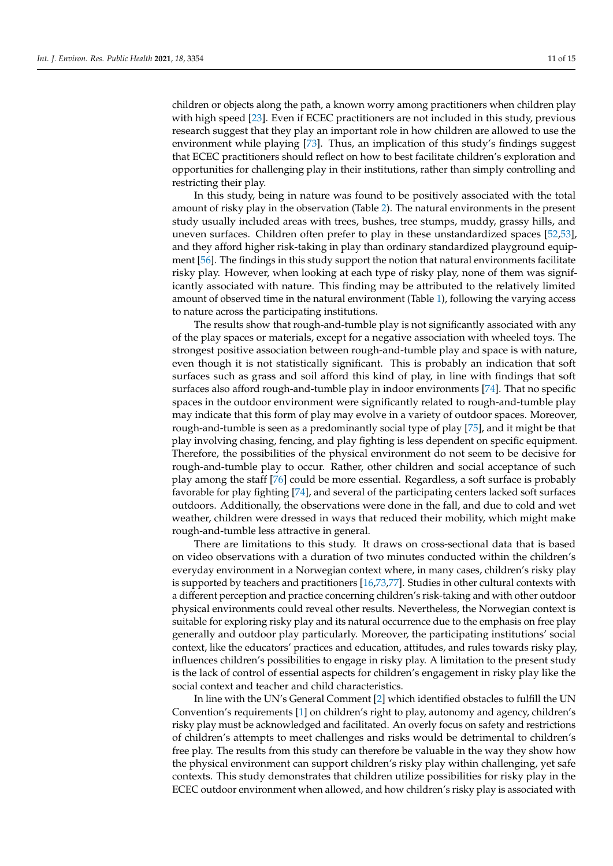children or objects along the path, a known worry among practitioners when children play with high speed [\[23\]](#page-12-7). Even if ECEC practitioners are not included in this study, previous research suggest that they play an important role in how children are allowed to use the environment while playing [\[73\]](#page-14-2). Thus, an implication of this study's findings suggest that ECEC practitioners should reflect on how to best facilitate children's exploration and opportunities for challenging play in their institutions, rather than simply controlling and restricting their play.

In this study, being in nature was found to be positively associated with the total amount of risky play in the observation (Table [2\)](#page-7-0). The natural environments in the present study usually included areas with trees, bushes, tree stumps, muddy, grassy hills, and uneven surfaces. Children often prefer to play in these unstandardized spaces [\[52,](#page-13-5)[53\]](#page-13-6), and they afford higher risk-taking in play than ordinary standardized playground equipment [\[56\]](#page-13-9). The findings in this study support the notion that natural environments facilitate risky play. However, when looking at each type of risky play, none of them was significantly associated with nature. This finding may be attributed to the relatively limited amount of observed time in the natural environment (Table [1\)](#page-6-0), following the varying access to nature across the participating institutions.

The results show that rough-and-tumble play is not significantly associated with any of the play spaces or materials, except for a negative association with wheeled toys. The strongest positive association between rough-and-tumble play and space is with nature, even though it is not statistically significant. This is probably an indication that soft surfaces such as grass and soil afford this kind of play, in line with findings that soft surfaces also afford rough-and-tumble play in indoor environments [\[74\]](#page-14-3). That no specific spaces in the outdoor environment were significantly related to rough-and-tumble play may indicate that this form of play may evolve in a variety of outdoor spaces. Moreover, rough-and-tumble is seen as a predominantly social type of play [\[75\]](#page-14-4), and it might be that play involving chasing, fencing, and play fighting is less dependent on specific equipment. Therefore, the possibilities of the physical environment do not seem to be decisive for rough-and-tumble play to occur. Rather, other children and social acceptance of such play among the staff [\[76\]](#page-14-5) could be more essential. Regardless, a soft surface is probably favorable for play fighting [\[74\]](#page-14-3), and several of the participating centers lacked soft surfaces outdoors. Additionally, the observations were done in the fall, and due to cold and wet weather, children were dressed in ways that reduced their mobility, which might make rough-and-tumble less attractive in general.

There are limitations to this study. It draws on cross-sectional data that is based on video observations with a duration of two minutes conducted within the children's everyday environment in a Norwegian context where, in many cases, children's risky play is supported by teachers and practitioners [\[16,](#page-12-2)[73,](#page-14-2)[77\]](#page-14-6). Studies in other cultural contexts with a different perception and practice concerning children's risk-taking and with other outdoor physical environments could reveal other results. Nevertheless, the Norwegian context is suitable for exploring risky play and its natural occurrence due to the emphasis on free play generally and outdoor play particularly. Moreover, the participating institutions' social context, like the educators' practices and education, attitudes, and rules towards risky play, influences children's possibilities to engage in risky play. A limitation to the present study is the lack of control of essential aspects for children's engagement in risky play like the social context and teacher and child characteristics.

In line with the UN's General Comment [\[2\]](#page-11-1) which identified obstacles to fulfill the UN Convention's requirements [\[1\]](#page-11-0) on children's right to play, autonomy and agency, children's risky play must be acknowledged and facilitated. An overly focus on safety and restrictions of children's attempts to meet challenges and risks would be detrimental to children's free play. The results from this study can therefore be valuable in the way they show how the physical environment can support children's risky play within challenging, yet safe contexts. This study demonstrates that children utilize possibilities for risky play in the ECEC outdoor environment when allowed, and how children's risky play is associated with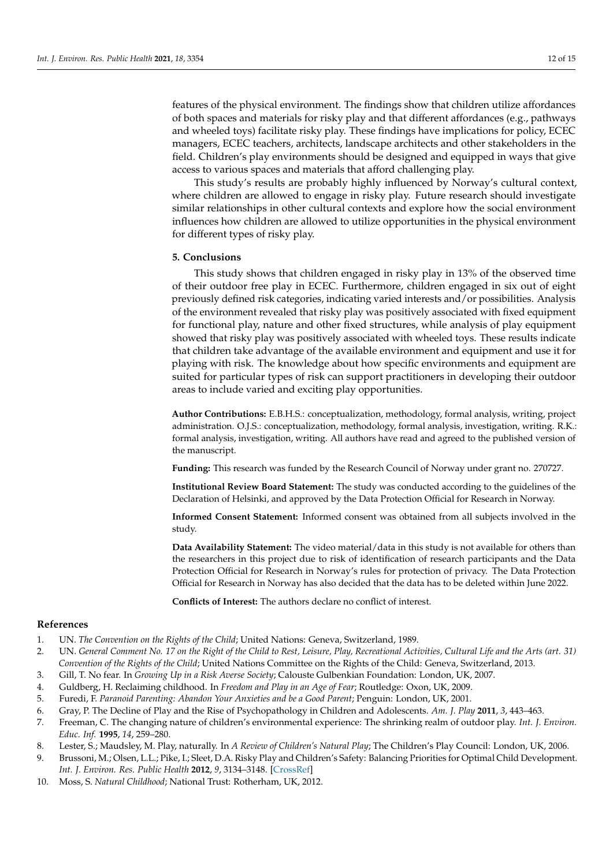features of the physical environment. The findings show that children utilize affordances of both spaces and materials for risky play and that different affordances (e.g., pathways and wheeled toys) facilitate risky play. These findings have implications for policy, ECEC managers, ECEC teachers, architects, landscape architects and other stakeholders in the field. Children's play environments should be designed and equipped in ways that give access to various spaces and materials that afford challenging play.

This study's results are probably highly influenced by Norway's cultural context, where children are allowed to engage in risky play. Future research should investigate similar relationships in other cultural contexts and explore how the social environment influences how children are allowed to utilize opportunities in the physical environment for different types of risky play.

## **5. Conclusions**

This study shows that children engaged in risky play in 13% of the observed time of their outdoor free play in ECEC. Furthermore, children engaged in six out of eight previously defined risk categories, indicating varied interests and/or possibilities. Analysis of the environment revealed that risky play was positively associated with fixed equipment for functional play, nature and other fixed structures, while analysis of play equipment showed that risky play was positively associated with wheeled toys. These results indicate that children take advantage of the available environment and equipment and use it for playing with risk. The knowledge about how specific environments and equipment are suited for particular types of risk can support practitioners in developing their outdoor areas to include varied and exciting play opportunities.

**Author Contributions:** E.B.H.S.: conceptualization, methodology, formal analysis, writing, project administration. O.J.S.: conceptualization, methodology, formal analysis, investigation, writing. R.K.: formal analysis, investigation, writing. All authors have read and agreed to the published version of the manuscript.

**Funding:** This research was funded by the Research Council of Norway under grant no. 270727.

**Institutional Review Board Statement:** The study was conducted according to the guidelines of the Declaration of Helsinki, and approved by the Data Protection Official for Research in Norway.

**Informed Consent Statement:** Informed consent was obtained from all subjects involved in the study.

**Data Availability Statement:** The video material/data in this study is not available for others than the researchers in this project due to risk of identification of research participants and the Data Protection Official for Research in Norway's rules for protection of privacy. The Data Protection Official for Research in Norway has also decided that the data has to be deleted within June 2022.

**Conflicts of Interest:** The authors declare no conflict of interest.

## **References**

- <span id="page-11-0"></span>1. UN. *The Convention on the Rights of the Child*; United Nations: Geneva, Switzerland, 1989.
- <span id="page-11-1"></span>2. UN. *General Comment No. 17 on the Right of the Child to Rest, Leisure, Play, Recreational Activities, Cultural Life and the Arts (art. 31) Convention of the Rights of the Child*; United Nations Committee on the Rights of the Child: Geneva, Switzerland, 2013.
- 3. Gill, T. No fear. In *Growing Up in a Risk Averse Society*; Calouste Gulbenkian Foundation: London, UK, 2007.
- 4. Guldberg, H. Reclaiming childhood. In *Freedom and Play in an Age of Fear*; Routledge: Oxon, UK, 2009.
- 5. Furedi, F. *Paranoid Parenting: Abandon Your Anxieties and be a Good Parent*; Penguin: London, UK, 2001.
- <span id="page-11-2"></span>6. Gray, P. The Decline of Play and the Rise of Psychopathology in Children and Adolescents. *Am. J. Play* **2011**, *3*, 443–463.
- 7. Freeman, C. The changing nature of children's environmental experience: The shrinking realm of outdoor play. *Int. J. Environ. Educ. Inf.* **1995**, *14*, 259–280.
- 8. Lester, S.; Maudsley, M. Play, naturally. In *A Review of Children's Natural Play*; The Children's Play Council: London, UK, 2006.
- <span id="page-11-4"></span>9. Brussoni, M.; Olsen, L.L.; Pike, I.; Sleet, D.A. Risky Play and Children's Safety: Balancing Priorities for Optimal Child Development. *Int. J. Environ. Res. Public Health* **2012**, *9*, 3134–3148. [\[CrossRef\]](http://doi.org/10.3390/ijerph9093134)
- <span id="page-11-3"></span>10. Moss, S. *Natural Childhood*; National Trust: Rotherham, UK, 2012.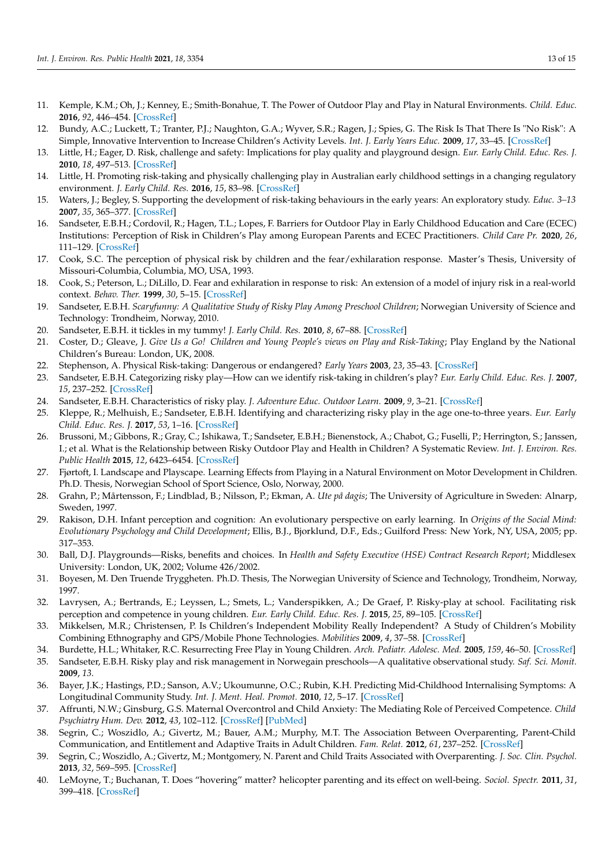- <span id="page-12-0"></span>11. Kemple, K.M.; Oh, J.; Kenney, E.; Smith-Bonahue, T. The Power of Outdoor Play and Play in Natural Environments. *Child. Educ.* **2016**, *92*, 446–454. [\[CrossRef\]](http://doi.org/10.1080/00094056.2016.1251793)
- <span id="page-12-1"></span>12. Bundy, A.C.; Luckett, T.; Tranter, P.J.; Naughton, G.A.; Wyver, S.R.; Ragen, J.; Spies, G. The Risk Is That There Is "No Risk": A Simple, Innovative Intervention to Increase Children's Activity Levels. *Int. J. Early Years Educ.* **2009**, *17*, 33–45. [\[CrossRef\]](http://doi.org/10.1080/09669760802699878)
- <span id="page-12-21"></span>13. Little, H.; Eager, D. Risk, challenge and safety: Implications for play quality and playground design. *Eur. Early Child. Educ. Res. J.* **2010**, *18*, 497–513. [\[CrossRef\]](http://doi.org/10.1080/1350293X.2010.525949)
- 14. Little, H. Promoting risk-taking and physically challenging play in Australian early childhood settings in a changing regulatory environment. *J. Early Child. Res.* **2016**, *15*, 83–98. [\[CrossRef\]](http://doi.org/10.1177/1476718X15579743)
- 15. Waters, J.; Begley, S. Supporting the development of risk-taking behaviours in the early years: An exploratory study. *Educ. 3–13* **2007**, *35*, 365–377. [\[CrossRef\]](http://doi.org/10.1080/03004270701602632)
- <span id="page-12-2"></span>16. Sandseter, E.B.H.; Cordovil, R.; Hagen, T.L.; Lopes, F. Barriers for Outdoor Play in Early Childhood Education and Care (ECEC) Institutions: Perception of Risk in Children's Play among European Parents and ECEC Practitioners. *Child Care Pr.* **2020**, *26*, 111–129. [\[CrossRef\]](http://doi.org/10.1080/13575279.2019.1685461)
- <span id="page-12-3"></span>17. Cook, S.C. The perception of physical risk by children and the fear/exhilaration response. Master's Thesis, University of Missouri-Columbia, Columbia, MO, USA, 1993.
- <span id="page-12-4"></span>18. Cook, S.; Peterson, L.; DiLillo, D. Fear and exhilaration in response to risk: An extension of a model of injury risk in a real-world context. *Behav. Ther.* **1999**, *30*, 5–15. [\[CrossRef\]](http://doi.org/10.1016/S0005-7894(99)80042-2)
- <span id="page-12-5"></span>19. Sandseter, E.B.H. *Scaryfunny: A Qualitative Study of Risky Play Among Preschool Children*; Norwegian University of Science and Technology: Trondheim, Norway, 2010.
- 20. Sandseter, E.B.H. it tickles in my tummy! *J. Early Child. Res.* **2010**, *8*, 67–88. [\[CrossRef\]](http://doi.org/10.1177/1476718X09345393)
- <span id="page-12-9"></span>21. Coster, D.; Gleave, J. *Give Us a Go! Children and Young People's views on Play and Risk-Taking*; Play England by the National Children's Bureau: London, UK, 2008.
- <span id="page-12-6"></span>22. Stephenson, A. Physical Risk-taking: Dangerous or endangered? *Early Years* **2003**, *23*, 35–43. [\[CrossRef\]](http://doi.org/10.1080/0957514032000045573)
- <span id="page-12-7"></span>23. Sandseter, E.B.H. Categorizing risky play—How can we identify risk-taking in children's play? *Eur. Early Child. Educ. Res. J.* **2007**, *15*, 237–252. [\[CrossRef\]](http://doi.org/10.1080/13502930701321733)
- 24. Sandseter, E.B.H. Characteristics of risky play. *J. Adventure Educ. Outdoor Learn.* **2009**, *9*, 3–21. [\[CrossRef\]](http://doi.org/10.1080/14729670802702762)
- <span id="page-12-8"></span>25. Kleppe, R.; Melhuish, E.; Sandseter, E.B.H. Identifying and characterizing risky play in the age one-to-three years. *Eur. Early Child. Educ. Res. J.* **2017**, *53*, 1–16. [\[CrossRef\]](http://doi.org/10.1080/1350293X.2017.1308163)
- <span id="page-12-10"></span>26. Brussoni, M.; Gibbons, R.; Gray, C.; Ishikawa, T.; Sandseter, E.B.H.; Bienenstock, A.; Chabot, G.; Fuselli, P.; Herrington, S.; Janssen, I.; et al. What is the Relationship between Risky Outdoor Play and Health in Children? A Systematic Review. *Int. J. Environ. Res. Public Health* **2015**, *12*, 6423–6454. [\[CrossRef\]](http://doi.org/10.3390/ijerph120606423)
- <span id="page-12-11"></span>27. Fjørtoft, I. Landscape and Playscape. Learning Effects from Playing in a Natural Environment on Motor Development in Children. Ph.D. Thesis, Norwegian School of Sport Science, Oslo, Norway, 2000.
- <span id="page-12-12"></span>28. Grahn, P.; Mårtensson, F.; Lindblad, B.; Nilsson, P.; Ekman, A. *Ute på dagis*; The University of Agriculture in Sweden: Alnarp, Sweden, 1997.
- <span id="page-12-13"></span>29. Rakison, D.H. Infant perception and cognition: An evolutionary perspective on early learning. In *Origins of the Social Mind: Evolutionary Psychology and Child Development*; Ellis, B.J., Bjorklund, D.F., Eds.; Guilford Press: New York, NY, USA, 2005; pp. 317–353.
- <span id="page-12-14"></span>30. Ball, D.J. Playgrounds—Risks, benefits and choices. In *Health and Safety Executive (HSE) Contract Research Report*; Middlesex University: London, UK, 2002; Volume 426/2002.
- 31. Boyesen, M. Den Truende Tryggheten. Ph.D. Thesis, The Norwegian University of Science and Technology, Trondheim, Norway, 1997.
- <span id="page-12-15"></span>32. Lavrysen, A.; Bertrands, E.; Leyssen, L.; Smets, L.; Vanderspikken, A.; De Graef, P. Risky-play at school. Facilitating risk perception and competence in young children. *Eur. Early Child. Educ. Res. J.* **2015**, *25*, 89–105. [\[CrossRef\]](http://doi.org/10.1080/1350293X.2015.1102412)
- <span id="page-12-16"></span>33. Mikkelsen, M.R.; Christensen, P. Is Children's Independent Mobility Really Independent? A Study of Children's Mobility Combining Ethnography and GPS/Mobile Phone Technologies. *Mobilities* **2009**, *4*, 37–58. [\[CrossRef\]](http://doi.org/10.1080/17450100802657954)
- 34. Burdette, H.L.; Whitaker, R.C. Resurrecting Free Play in Young Children. *Arch. Pediatr. Adolesc. Med.* **2005**, *159*, 46–50. [\[CrossRef\]](http://doi.org/10.1001/archpedi.159.1.46)
- <span id="page-12-17"></span>35. Sandseter, E.B.H. Risky play and risk management in Norwegain preschools—A qualitative observational study. *Saf. Sci. Monit.* **2009**, *13*.
- <span id="page-12-18"></span>36. Bayer, J.K.; Hastings, P.D.; Sanson, A.V.; Ukoumunne, O.C.; Rubin, K.H. Predicting Mid-Childhood Internalising Symptoms: A Longitudinal Community Study. *Int. J. Ment. Heal. Promot.* **2010**, *12*, 5–17. [\[CrossRef\]](http://doi.org/10.1080/14623730.2010.9721802)
- <span id="page-12-19"></span>37. Affrunti, N.W.; Ginsburg, G.S. Maternal Overcontrol and Child Anxiety: The Mediating Role of Perceived Competence. *Child Psychiatry Hum. Dev.* **2012**, *43*, 102–112. [\[CrossRef\]](http://doi.org/10.1007/s10578-011-0248-z) [\[PubMed\]](http://www.ncbi.nlm.nih.gov/pubmed/21874362)
- <span id="page-12-20"></span>38. Segrin, C.; Woszidlo, A.; Givertz, M.; Bauer, A.M.; Murphy, M.T. The Association Between Overparenting, Parent-Child Communication, and Entitlement and Adaptive Traits in Adult Children. *Fam. Relat.* **2012**, *61*, 237–252. [\[CrossRef\]](http://doi.org/10.1111/j.1741-3729.2011.00689.x)
- 39. Segrin, C.; Woszidlo, A.; Givertz, M.; Montgomery, N. Parent and Child Traits Associated with Overparenting. *J. Soc. Clin. Psychol.* **2013**, *32*, 569–595. [\[CrossRef\]](http://doi.org/10.1521/jscp.2013.32.6.569)
- 40. LeMoyne, T.; Buchanan, T. Does "hovering" matter? helicopter parenting and its effect on well-being. *Sociol. Spectr.* **2011**, *31*, 399–418. [\[CrossRef\]](http://doi.org/10.1080/02732173.2011.574038)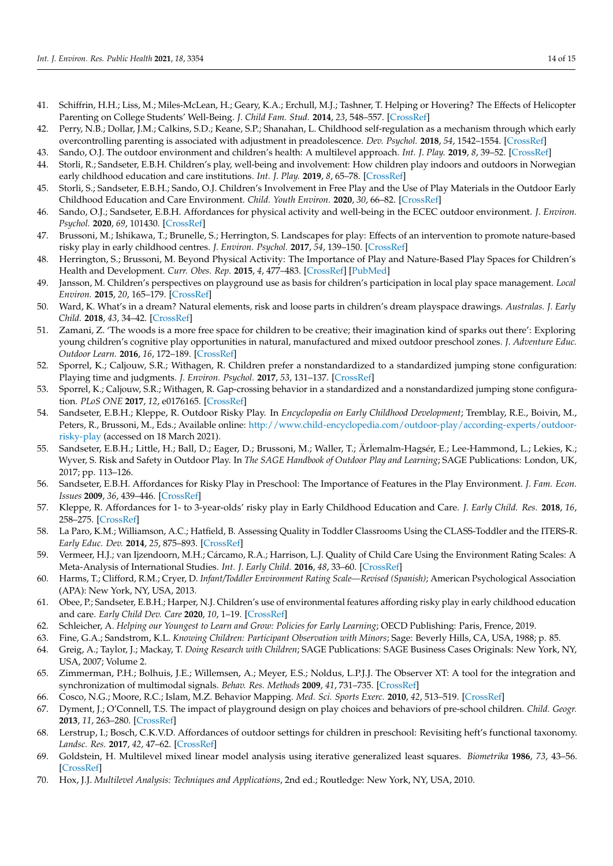- 41. Schiffrin, H.H.; Liss, M.; Miles-McLean, H.; Geary, K.A.; Erchull, M.J.; Tashner, T. Helping or Hovering? The Effects of Helicopter Parenting on College Students' Well-Being. *J. Child Fam. Stud.* **2014**, *23*, 548–557. [\[CrossRef\]](http://doi.org/10.1007/s10826-013-9716-3)
- <span id="page-13-0"></span>42. Perry, N.B.; Dollar, J.M.; Calkins, S.D.; Keane, S.P.; Shanahan, L. Childhood self-regulation as a mechanism through which early overcontrolling parenting is associated with adjustment in preadolescence. *Dev. Psychol.* **2018**, *54*, 1542–1554. [\[CrossRef\]](http://doi.org/10.1037/dev0000536)
- <span id="page-13-1"></span>43. Sando, O.J. The outdoor environment and children's health: A multilevel approach. *Int. J. Play.* **2019**, *8*, 39–52. [\[CrossRef\]](http://doi.org/10.1080/21594937.2019.1580336)
- 44. Storli, R.; Sandseter, E.B.H. Children's play, well-being and involvement: How children play indoors and outdoors in Norwegian early childhood education and care institutions. *Int. J. Play.* **2019**, *8*, 65–78. [\[CrossRef\]](http://doi.org/10.1080/21594937.2019.1580338)
- 45. Storli, S.; Sandseter, E.B.H.; Sando, O.J. Children's Involvement in Free Play and the Use of Play Materials in the Outdoor Early Childhood Education and Care Environment. *Child. Youth Environ.* **2020**, *30*, 66–82. [\[CrossRef\]](http://doi.org/10.7721/chilyoutenvi.30.1.0066)
- <span id="page-13-24"></span>46. Sando, O.J.; Sandseter, E.B.H. Affordances for physical activity and well-being in the ECEC outdoor environment. *J. Environ. Psychol.* **2020**, *69*, 101430. [\[CrossRef\]](http://doi.org/10.1016/j.jenvp.2020.101430)
- 47. Brussoni, M.; Ishikawa, T.; Brunelle, S.; Herrington, S. Landscapes for play: Effects of an intervention to promote nature-based risky play in early childhood centres. *J. Environ. Psychol.* **2017**, *54*, 139–150. [\[CrossRef\]](http://doi.org/10.1016/j.jenvp.2017.11.001)
- <span id="page-13-2"></span>48. Herrington, S.; Brussoni, M. Beyond Physical Activity: The Importance of Play and Nature-Based Play Spaces for Children's Health and Development. *Curr. Obes. Rep.* **2015**, *4*, 477–483. [\[CrossRef\]](http://doi.org/10.1007/s13679-015-0179-2) [\[PubMed\]](http://www.ncbi.nlm.nih.gov/pubmed/26399254)
- <span id="page-13-3"></span>49. Jansson, M. Children's perspectives on playground use as basis for children's participation in local play space management. *Local Environ.* **2015**, *20*, 165–179. [\[CrossRef\]](http://doi.org/10.1080/13549839.2013.857646)
- 50. Ward, K. What's in a dream? Natural elements, risk and loose parts in children's dream playspace drawings. *Australas. J. Early Child.* **2018**, *43*, 34–42. [\[CrossRef\]](http://doi.org/10.23965/AJEC.43.1.04)
- <span id="page-13-4"></span>51. Zamani, Z. 'The woods is a more free space for children to be creative; their imagination kind of sparks out there': Exploring young children's cognitive play opportunities in natural, manufactured and mixed outdoor preschool zones. *J. Adventure Educ. Outdoor Learn.* **2016**, *16*, 172–189. [\[CrossRef\]](http://doi.org/10.1080/14729679.2015.1122538)
- <span id="page-13-5"></span>52. Sporrel, K.; Caljouw, S.R.; Withagen, R. Children prefer a nonstandardized to a standardized jumping stone configuration: Playing time and judgments. *J. Environ. Psychol.* **2017**, *53*, 131–137. [\[CrossRef\]](http://doi.org/10.1016/j.jenvp.2017.07.006)
- <span id="page-13-6"></span>53. Sporrel, K.; Caljouw, S.R.; Withagen, R. Gap-crossing behavior in a standardized and a nonstandardized jumping stone configuration. *PLoS ONE* **2017**, *12*, e0176165. [\[CrossRef\]](http://doi.org/10.1371/journal.pone.0176165)
- <span id="page-13-7"></span>54. Sandseter, E.B.H.; Kleppe, R. Outdoor Risky Play. In *Encyclopedia on Early Childhood Development*; Tremblay, R.E., Boivin, M., Peters, R., Brussoni, M., Eds.; Available online: [http://www.child-encyclopedia.com/outdoor-play/according-experts/outdoor](http://www.child-encyclopedia.com/outdoor-play/according-experts/outdoor-risky-play)[risky-play](http://www.child-encyclopedia.com/outdoor-play/according-experts/outdoor-risky-play) (accessed on 18 March 2021).
- <span id="page-13-8"></span>55. Sandseter, E.B.H.; Little, H.; Ball, D.; Eager, D.; Brussoni, M.; Waller, T.; Ärlemalm-Hagsér, E.; Lee-Hammond, L.; Lekies, K.; Wyver, S. Risk and Safety in Outdoor Play. In *The SAGE Handbook of Outdoor Play and Learning*; SAGE Publications: London, UK, 2017; pp. 113–126.
- <span id="page-13-9"></span>56. Sandseter, E.B.H. Affordances for Risky Play in Preschool: The Importance of Features in the Play Environment. *J. Fam. Econ. Issues* **2009**, *36*, 439–446. [\[CrossRef\]](http://doi.org/10.1007/s10643-009-0307-2)
- <span id="page-13-10"></span>57. Kleppe, R. Affordances for 1- to 3-year-olds' risky play in Early Childhood Education and Care. *J. Early Child. Res.* **2018**, *16*, 258–275. [\[CrossRef\]](http://doi.org/10.1177/1476718X18762237)
- <span id="page-13-11"></span>58. La Paro, K.M.; Williamson, A.C.; Hatfield, B. Assessing Quality in Toddler Classrooms Using the CLASS-Toddler and the ITERS-R. *Early Educ. Dev.* **2014**, *25*, 875–893. [\[CrossRef\]](http://doi.org/10.1080/10409289.2014.883586)
- <span id="page-13-12"></span>59. Vermeer, H.J.; van Ijzendoorn, M.H.; Cárcamo, R.A.; Harrison, L.J. Quality of Child Care Using the Environment Rating Scales: A Meta-Analysis of International Studies. *Int. J. Early Child.* **2016**, *48*, 33–60. [\[CrossRef\]](http://doi.org/10.1007/s13158-015-0154-9)
- <span id="page-13-13"></span>60. Harms, T.; Clifford, R.M.; Cryer, D. *Infant/Toddler Environment Rating Scale—Revised (Spanish)*; American Psychological Association (APA): New York, NY, USA, 2013.
- <span id="page-13-14"></span>61. Obee, P.; Sandseter, E.B.H.; Harper, N.J. Children's use of environmental features affording risky play in early childhood education and care. *Early Child Dev. Care* **2020**, *10*, 1–19. [\[CrossRef\]](http://doi.org/10.1080/03004430.2020.1726904)
- <span id="page-13-15"></span>62. Schleicher, A. *Helping our Youngest to Learn and Grow: Policies for Early Learning*; OECD Publishing: Paris, Frence, 2019.
- <span id="page-13-16"></span>63. Fine, G.A.; Sandstrom, K.L. *Knowing Children: Participant Observation with Minors*; Sage: Beverly Hills, CA, USA, 1988; p. 85.
- <span id="page-13-17"></span>64. Greig, A.; Taylor, J.; Mackay, T. *Doing Research with Children*; SAGE Publications: SAGE Business Cases Originals: New York, NY, USA, 2007; Volume 2.
- <span id="page-13-18"></span>65. Zimmerman, P.H.; Bolhuis, J.E.; Willemsen, A.; Meyer, E.S.; Noldus, L.P.J.J. The Observer XT: A tool for the integration and synchronization of multimodal signals. *Behav. Res. Methods* **2009**, *41*, 731–735. [\[CrossRef\]](http://doi.org/10.3758/BRM.41.3.731)
- <span id="page-13-19"></span>66. Cosco, N.G.; Moore, R.C.; Islam, M.Z. Behavior Mapping. *Med. Sci. Sports Exerc.* **2010**, *42*, 513–519. [\[CrossRef\]](http://doi.org/10.1249/MSS.0b013e3181cea27a)
- <span id="page-13-23"></span>67. Dyment, J.; O'Connell, T.S. The impact of playground design on play choices and behaviors of pre-school children. *Child. Geogr.* **2013**, *11*, 263–280. [\[CrossRef\]](http://doi.org/10.1080/14733285.2013.812272)
- <span id="page-13-20"></span>68. Lerstrup, I.; Bosch, C.K.V.D. Affordances of outdoor settings for children in preschool: Revisiting heft's functional taxonomy. *Landsc. Res.* **2017**, *42*, 47–62. [\[CrossRef\]](http://doi.org/10.1080/01426397.2016.1252039)
- <span id="page-13-21"></span>69. Goldstein, H. Multilevel mixed linear model analysis using iterative generalized least squares. *Biometrika* **1986**, *73*, 43–56. [\[CrossRef\]](http://doi.org/10.1093/biomet/73.1.43)
- <span id="page-13-22"></span>70. Hox, J.J. *Multilevel Analysis: Techniques and Applications*, 2nd ed.; Routledge: New York, NY, USA, 2010.